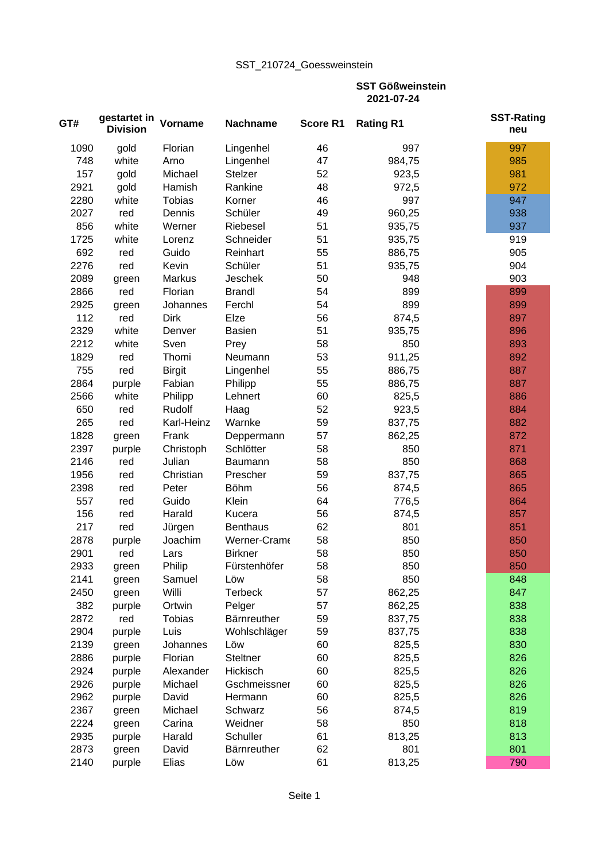## SST\_210724\_Goessweinstein

**SST Gößweinstein 2021-07-24**

| 46<br>997<br>1090<br>gold<br>Florian<br>Lingenhel             | 997<br>985 |
|---------------------------------------------------------------|------------|
|                                                               |            |
| white<br>47<br>984,75<br>748<br>Arno<br>Lingenhel             |            |
| 52<br>157<br>gold<br>Michael<br>Stelzer<br>923,5              | 981        |
| 2921<br>Hamish<br>Rankine<br>gold<br>48<br>972,5              | 972        |
| 997<br>2280<br>white<br><b>Tobias</b><br>46<br>Korner         | 947        |
| 49<br>2027<br>Dennis<br>Schüler<br>960,25<br>red              | 938        |
| 51<br>856<br>white<br>Riebesel<br>935,75<br>Werner            | 937        |
| 51<br>1725<br>white<br>Schneider<br>935,75<br>Lorenz          | 919        |
| 692<br>Reinhart<br>55<br>886,75<br>red<br>Guido               | 905        |
| 51<br>2276<br>Schüler<br>red<br>Kevin<br>935,75               | 904        |
| 50<br>2089<br><b>Jeschek</b><br><b>Markus</b><br>948<br>green | 903        |
| 2866<br>Florian<br><b>Brandl</b><br>54<br>899<br>red          | 899        |
| 899<br>2925<br>54<br>Johannes<br>Ferchl<br>green              | 899        |
| 56<br>112<br>red<br><b>Dirk</b><br>Elze<br>874,5              | 897        |
| 2329<br>white<br>51<br>935,75<br><b>Basien</b><br>Denver      | 896        |
| 2212<br>white<br>58<br>850<br>Sven<br>Prey                    | 893        |
| 53<br>1829<br>Thomi<br>911,25<br>red<br>Neumann               | 892        |
| 755<br>red<br>55<br><b>Birgit</b><br>Lingenhel<br>886,75      | 887        |
| 55<br>2864<br>purple<br>Fabian<br>Philipp<br>886,75           | 887        |
| 2566<br>white<br>Lehnert<br>60<br>Philipp<br>825,5            | 886        |
| 52<br>650<br>Rudolf<br>923,5<br>red<br>Haag                   | 884        |
| 265<br>59<br>red<br>Karl-Heinz<br>Warnke<br>837,75            | 882        |
| 57<br>1828<br>862,25<br>Frank<br>green<br>Deppermann          | 872        |
| 2397<br>Schlötter<br>58<br>850<br>purple<br>Christoph         | 871        |
| 850<br>2146<br>Julian<br>58<br>red<br>Baumann                 | 868        |
| 59<br>1956<br>Christian<br>837,75<br>red<br>Prescher          | 865        |
| 2398<br><b>Böhm</b><br>56<br>Peter<br>874,5<br>red            | 865        |
| 557<br>Guido<br>Klein<br>64<br>776,5<br>red                   | 864        |
| 156<br>56<br>red<br>Harald<br>Kucera<br>874,5                 | 857        |
| 801<br>217<br>red<br>62<br>Jürgen<br><b>Benthaus</b>          | 851        |
| 850<br>Joachim<br>58<br>2878<br>purple<br>Werner-Crame        | 850        |
| 850<br>2901<br><b>Birkner</b><br>58<br>red<br>Lars            | 850        |
| 58<br>850<br>2933<br>Philip<br>Fürstenhöfer<br>green          | 850        |
| 58<br>850<br>2141<br>Löw<br>Samuel<br>green                   | 848        |
| 2450<br>Willi<br><b>Terbeck</b><br>57<br>862,25<br>green      | 847        |
| 382<br>57<br>purple<br>Ortwin<br>Pelger<br>862,25             | 838        |
| 2872<br>Bärnreuther<br>59<br>red<br><b>Tobias</b><br>837,75   | 838        |
| 59<br>2904<br>purple<br>Luis<br>Wohlschläger<br>837,75        | 838        |
| 2139<br>60<br>Löw<br>825,5<br>green<br>Johannes               | 830        |
| 60<br>2886<br>purple<br>Florian<br>Steltner<br>825,5          | 826        |
| 2924<br>60<br>purple<br>Alexander<br>Hickisch<br>825,5        | 826        |
| 2926<br>60<br>purple<br>Michael<br>Gschmeissner<br>825,5      | 826        |
| 2962<br>60<br>David<br>825,5<br>purple<br>Hermann             | 826        |
| 2367<br>56<br>Michael<br>Schwarz<br>874,5<br>green            | 819        |
| 58<br>2224<br>850<br>Weidner<br>green<br>Carina               | 818        |
| 61<br>2935<br>Harald<br>Schuller<br>813,25                    | 813        |
| purple<br>62<br>2873<br>801<br>Bärnreuther<br>green<br>David  | 801        |
| Elias<br>61<br>2140<br>Löw<br>813,25<br>purple                | 790        |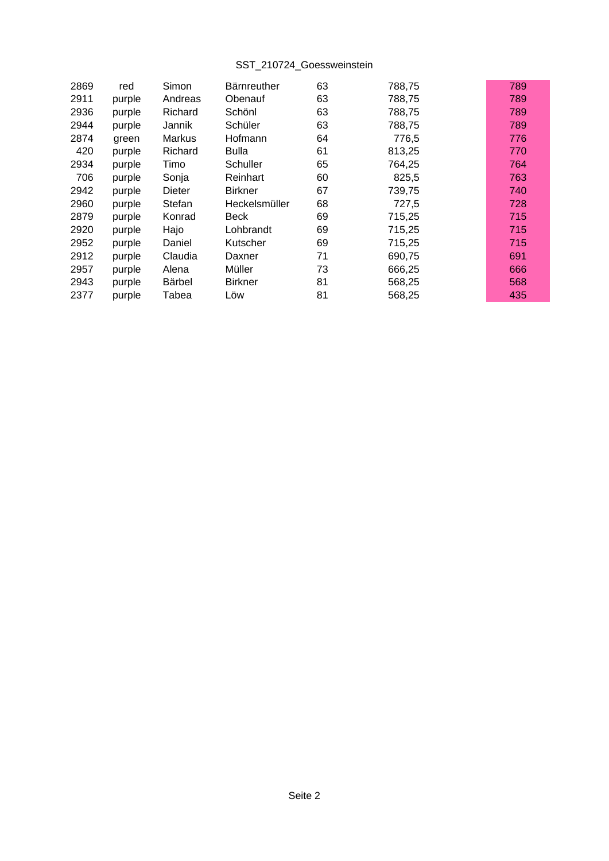## SST\_210724\_Goessweinstein

| 2869 | red    | Simon         | <b>Bärnreuther</b> | 63 | 788,75 | 789 |
|------|--------|---------------|--------------------|----|--------|-----|
| 2911 | purple | Andreas       | Obenauf            | 63 | 788,75 | 789 |
| 2936 | purple | Richard       | Schönl             | 63 | 788,75 | 789 |
| 2944 | purple | Jannik        | Schüler            | 63 | 788,75 | 789 |
| 2874 | green  | <b>Markus</b> | Hofmann            | 64 | 776,5  | 776 |
| 420  | purple | Richard       | <b>Bulla</b>       | 61 | 813,25 | 770 |
| 2934 | purple | Timo          | Schuller           | 65 | 764,25 | 764 |
| 706  | purple | Sonja         | Reinhart           | 60 | 825,5  | 763 |
| 2942 | purple | <b>Dieter</b> | <b>Birkner</b>     | 67 | 739,75 | 740 |
| 2960 | purple | Stefan        | Heckelsmüller      | 68 | 727,5  | 728 |
| 2879 | purple | Konrad        | Beck               | 69 | 715,25 | 715 |
| 2920 | purple | Hajo          | Lohbrandt          | 69 | 715,25 | 715 |
| 2952 | purple | Daniel        | Kutscher           | 69 | 715,25 | 715 |
| 2912 | purple | Claudia       | Daxner             | 71 | 690,75 | 691 |
| 2957 | purple | Alena         | Müller             | 73 | 666,25 | 666 |
| 2943 | purple | <b>Bärbel</b> | <b>Birkner</b>     | 81 | 568,25 | 568 |
| 2377 | purple | Tabea         | Löw                | 81 | 568,25 | 435 |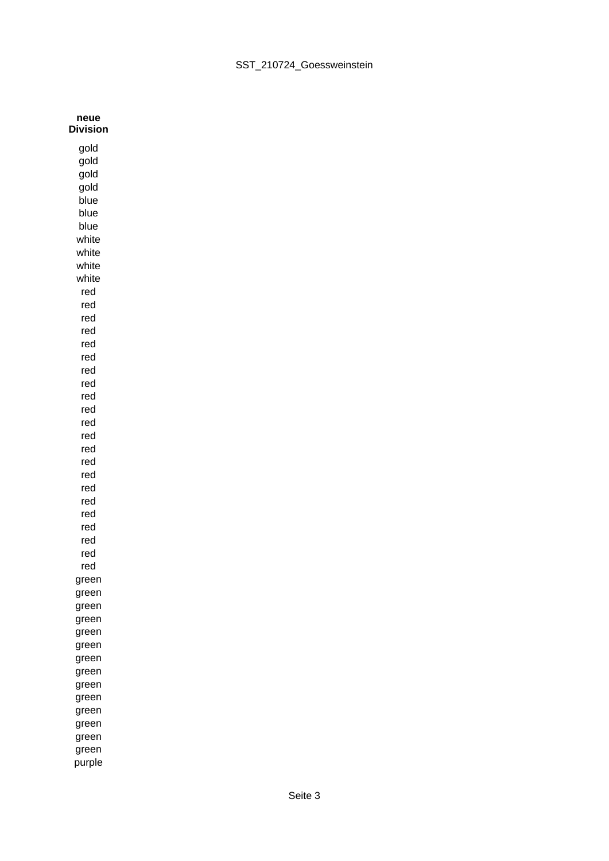| neue<br><b>Division</b> |  |
|-------------------------|--|
| gold                    |  |
| gold                    |  |
| gold                    |  |
| gold                    |  |
| blue                    |  |
| blue                    |  |
| blue                    |  |
| white                   |  |
| white                   |  |
| white                   |  |
| white                   |  |
| red                     |  |
| red                     |  |
| red                     |  |
| red                     |  |
| red                     |  |
| red                     |  |
| red                     |  |
| red                     |  |
| red                     |  |
| red                     |  |
| red                     |  |
| red                     |  |
| red                     |  |
| red                     |  |
| red                     |  |
| red                     |  |
| red                     |  |
| red                     |  |
| red                     |  |
| red                     |  |
| red                     |  |
| red                     |  |
| green                   |  |
| green                   |  |
| green                   |  |
| green<br>green          |  |
|                         |  |
| green<br>green          |  |
| green                   |  |
| green                   |  |
| green                   |  |
| green                   |  |
| green                   |  |
| green                   |  |
| green                   |  |
| purple                  |  |
|                         |  |